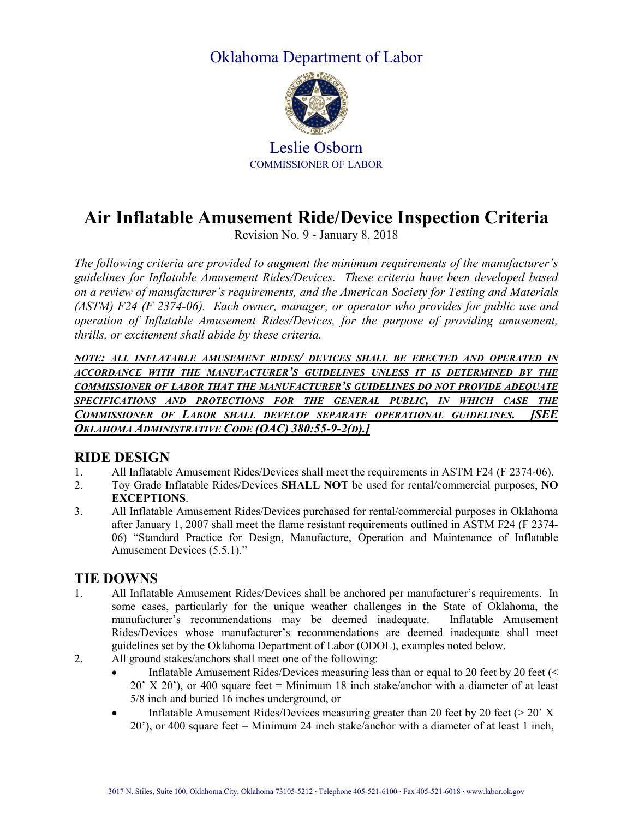## Oklahoma Department of Labor



Leslie Osborn COMMISSIONER OF LABOR

# **Air Inflatable Amusement Ride/Device Inspection Criteria**

Revision No. 9 - January 8, 2018

*The following criteria are provided to augment the minimum requirements of the manufacturer's guidelines for Inflatable Amusement Rides/Devices. These criteria have been developed based on a review of manufacturer's requirements, and the American Society for Testing and Materials (ASTM) F24 (F 2374-06). Each owner, manager, or operator who provides for public use and operation of Inflatable Amusement Rides/Devices, for the purpose of providing amusement, thrills, or excitement shall abide by these criteria.*

*NOTE: ALL INFLATABLE AMUSEMENT RIDES/ DEVICES SHALL BE ERECTED AND OPERATED IN ACCORDANCE WITH THE MANUFACTURER'S GUIDELINES UNLESS IT IS DETERMINED BY THE COMMISSIONER OF LABOR THAT THE MANUFACTURER'S GUIDELINES DO NOT PROVIDE ADEQUATE SPECIFICATIONS AND PROTECTIONS FOR THE GENERAL PUBLIC, IN WHICH CASE THE COMMISSIONER OF LABOR SHALL DEVELOP SEPARATE OPERATIONAL GUIDELINES. [SEE OKLAHOMA ADMINISTRATIVE CODE (OAC) 380:55-9-2(D).]*

#### **RIDE DESIGN**

- 1. All Inflatable Amusement Rides/Devices shall meet the requirements in ASTM F24 (F 2374-06).
- 2. Toy Grade Inflatable Rides/Devices **SHALL NOT** be used for rental/commercial purposes, **NO EXCEPTIONS**.
- 3. All Inflatable Amusement Rides/Devices purchased for rental/commercial purposes in Oklahoma after January 1, 2007 shall meet the flame resistant requirements outlined in ASTM F24 (F 2374- 06) "Standard Practice for Design, Manufacture, Operation and Maintenance of Inflatable Amusement Devices (5.5.1)."

#### **TIE DOWNS**

- 1. All Inflatable Amusement Rides/Devices shall be anchored per manufacturer's requirements. In some cases, particularly for the unique weather challenges in the State of Oklahoma, the manufacturer's recommendations may be deemed inadequate. Inflatable Amusement Rides/Devices whose manufacturer's recommendations are deemed inadequate shall meet guidelines set by the Oklahoma Department of Labor (ODOL), examples noted below.
- 2. All ground stakes/anchors shall meet one of the following:
	- Inflatable Amusement Rides/Devices measuring less than or equal to 20 feet by 20 feet (< 20' X 20'), or 400 square feet = Minimum 18 inch stake/anchor with a diameter of at least 5/8 inch and buried 16 inches underground, or
	- Inflatable Amusement Rides/Devices measuring greater than 20 feet by 20 feet ( $>$  20' X 20'), or 400 square feet = Minimum 24 inch stake/anchor with a diameter of at least 1 inch,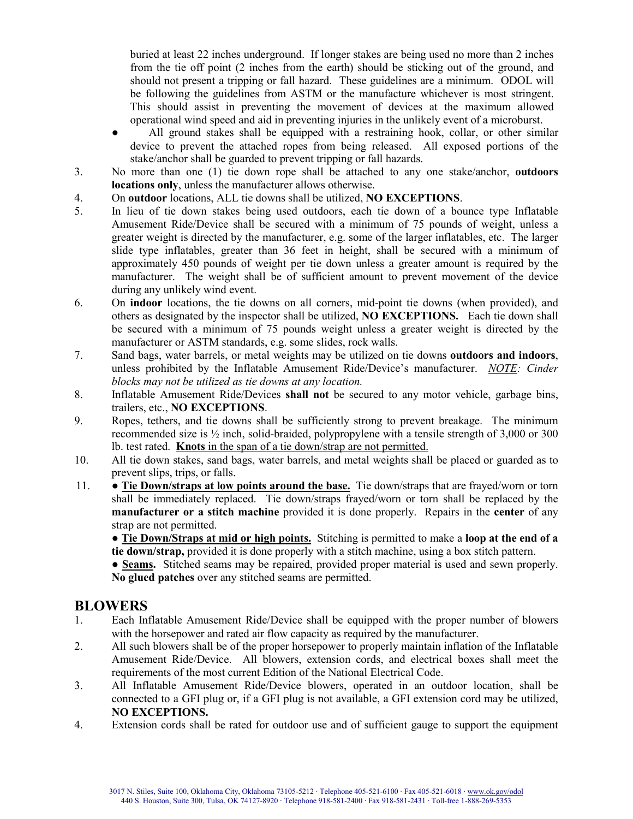buried at least 22 inches underground. If longer stakes are being used no more than 2 inches from the tie off point (2 inches from the earth) should be sticking out of the ground, and should not present a tripping or fall hazard. These guidelines are a minimum. ODOL will be following the guidelines from ASTM or the manufacture whichever is most stringent. This should assist in preventing the movement of devices at the maximum allowed operational wind speed and aid in preventing injuries in the unlikely event of a microburst.

- All ground stakes shall be equipped with a restraining hook, collar, or other similar device to prevent the attached ropes from being released. All exposed portions of the stake/anchor shall be guarded to prevent tripping or fall hazards.
- 3. No more than one (1) tie down rope shall be attached to any one stake/anchor, **outdoors locations only**, unless the manufacturer allows otherwise.
- 4. On **outdoor** locations, ALL tie downs shall be utilized, **NO EXCEPTIONS**.
- 5. In lieu of tie down stakes being used outdoors, each tie down of a bounce type Inflatable Amusement Ride/Device shall be secured with a minimum of 75 pounds of weight, unless a greater weight is directed by the manufacturer, e.g. some of the larger inflatables, etc. The larger slide type inflatables, greater than 36 feet in height, shall be secured with a minimum of approximately 450 pounds of weight per tie down unless a greater amount is required by the manufacturer. The weight shall be of sufficient amount to prevent movement of the device during any unlikely wind event.
- 6. On **indoor** locations, the tie downs on all corners, mid-point tie downs (when provided), and others as designated by the inspector shall be utilized, **NO EXCEPTIONS.** Each tie down shall be secured with a minimum of 75 pounds weight unless a greater weight is directed by the manufacturer or ASTM standards, e.g. some slides, rock walls.
- 7. Sand bags, water barrels, or metal weights may be utilized on tie downs **outdoors and indoors**, unless prohibited by the Inflatable Amusement Ride/Device's manufacturer. *NOTE: Cinder blocks may not be utilized as tie downs at any location.*
- 8. Inflatable Amusement Ride/Devices **shall not** be secured to any motor vehicle, garbage bins, trailers, etc., **NO EXCEPTIONS**.
- 9. Ropes, tethers, and tie downs shall be sufficiently strong to prevent breakage. The minimum recommended size is ½ inch, solid-braided, polypropylene with a tensile strength of 3,000 or 300 lb. test rated. **Knots** in the span of a tie down/strap are not permitted.
- 10. All tie down stakes, sand bags, water barrels, and metal weights shall be placed or guarded as to prevent slips, trips, or falls.
- 11. **Tie Down/straps at low points around the base.** Tie down/straps that are frayed/worn or torn shall be immediately replaced. Tie down/straps frayed/worn or torn shall be replaced by the **manufacturer or a stitch machine** provided it is done properly. Repairs in the **center** of any strap are not permitted.

● **Tie Down/Straps at mid or high points.** Stitching is permitted to make a **loop at the end of a tie down/strap,** provided it is done properly with a stitch machine, using a box stitch pattern.

● **Seams.** Stitched seams may be repaired, provided proper material is used and sewn properly. **No glued patches** over any stitched seams are permitted.

#### **BLOWERS**

- 1. Each Inflatable Amusement Ride/Device shall be equipped with the proper number of blowers with the horsepower and rated air flow capacity as required by the manufacturer.
- 2. All such blowers shall be of the proper horsepower to properly maintain inflation of the Inflatable Amusement Ride/Device. All blowers, extension cords, and electrical boxes shall meet the requirements of the most current Edition of the National Electrical Code.
- 3. All Inflatable Amusement Ride/Device blowers, operated in an outdoor location, shall be connected to a GFI plug or, if a GFI plug is not available, a GFI extension cord may be utilized, **NO EXCEPTIONS.**
- 4. Extension cords shall be rated for outdoor use and of sufficient gauge to support the equipment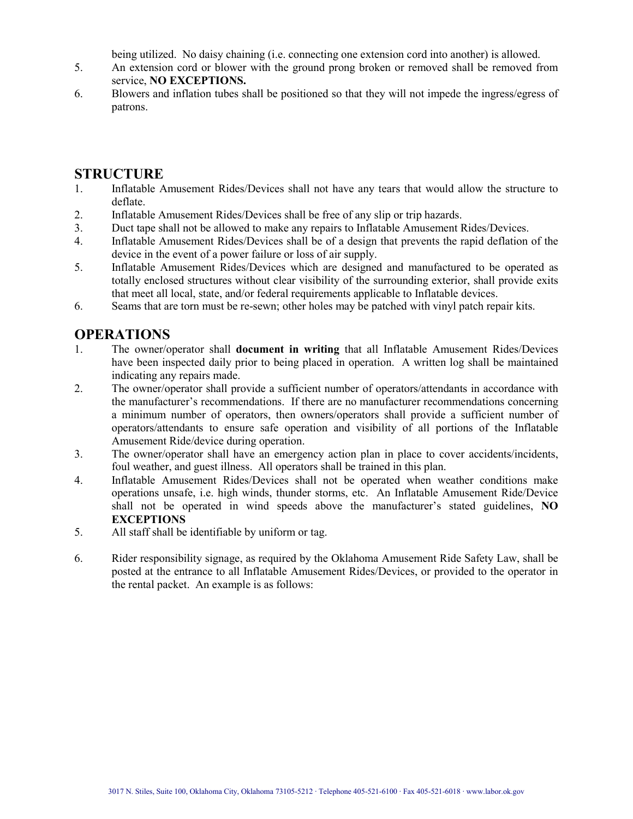being utilized. No daisy chaining (i.e. connecting one extension cord into another) is allowed.

- 5. An extension cord or blower with the ground prong broken or removed shall be removed from service, **NO EXCEPTIONS.**
- 6. Blowers and inflation tubes shall be positioned so that they will not impede the ingress/egress of patrons.

#### **STRUCTURE**

- 1. Inflatable Amusement Rides/Devices shall not have any tears that would allow the structure to deflate.
- 2. Inflatable Amusement Rides/Devices shall be free of any slip or trip hazards.
- 3. Duct tape shall not be allowed to make any repairs to Inflatable Amusement Rides/Devices.
- 4. Inflatable Amusement Rides/Devices shall be of a design that prevents the rapid deflation of the device in the event of a power failure or loss of air supply.
- 5. Inflatable Amusement Rides/Devices which are designed and manufactured to be operated as totally enclosed structures without clear visibility of the surrounding exterior, shall provide exits that meet all local, state, and/or federal requirements applicable to Inflatable devices.
- 6. Seams that are torn must be re-sewn; other holes may be patched with vinyl patch repair kits.

### **OPERATIONS**

- 1. The owner/operator shall **document in writing** that all Inflatable Amusement Rides/Devices have been inspected daily prior to being placed in operation. A written log shall be maintained indicating any repairs made.
- 2. The owner/operator shall provide a sufficient number of operators/attendants in accordance with the manufacturer's recommendations. If there are no manufacturer recommendations concerning a minimum number of operators, then owners/operators shall provide a sufficient number of operators/attendants to ensure safe operation and visibility of all portions of the Inflatable Amusement Ride/device during operation.
- 3. The owner/operator shall have an emergency action plan in place to cover accidents/incidents, foul weather, and guest illness. All operators shall be trained in this plan.
- 4. Inflatable Amusement Rides/Devices shall not be operated when weather conditions make operations unsafe, i.e. high winds, thunder storms, etc. An Inflatable Amusement Ride/Device shall not be operated in wind speeds above the manufacturer's stated guidelines, **NO EXCEPTIONS**
- 5. All staff shall be identifiable by uniform or tag.
- 6. Rider responsibility signage, as required by the Oklahoma Amusement Ride Safety Law, shall be posted at the entrance to all Inflatable Amusement Rides/Devices, or provided to the operator in the rental packet. An example is as follows: